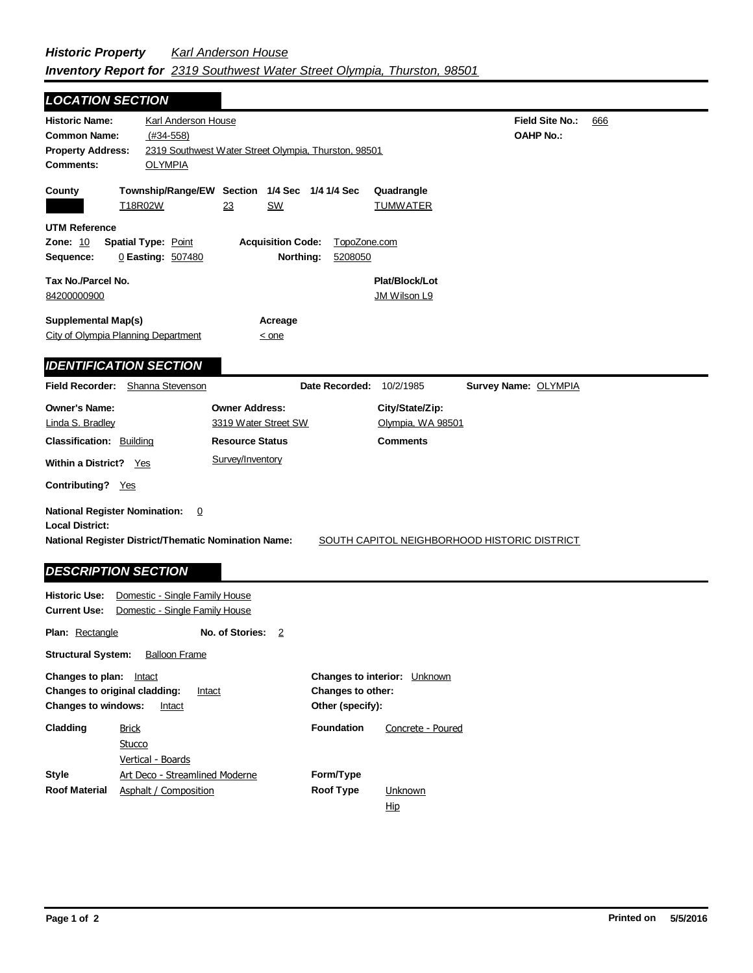| <b>LOCATION SECTION</b>                                                                                                                                                                               |                                                                       |
|-------------------------------------------------------------------------------------------------------------------------------------------------------------------------------------------------------|-----------------------------------------------------------------------|
| Karl Anderson House<br><b>Historic Name:</b><br>$(#34-558)$<br><b>Common Name:</b><br>2319 Southwest Water Street Olympia, Thurston, 98501<br><b>Property Address:</b><br><b>OLYMPIA</b><br>Comments: | Field Site No.:<br>666<br><b>OAHP No.:</b>                            |
| Township/Range/EW Section 1/4 Sec 1/4 1/4 Sec<br>County<br>T18R02W<br>23<br><u>SW</u>                                                                                                                 | Quadrangle<br><b>TUMWATER</b>                                         |
| <b>UTM Reference</b><br>Zone: 10<br>Spatial Type: Point<br><b>Acquisition Code:</b><br>0 Easting: 507480<br>Sequence:                                                                                 | TopoZone.com<br>Northing:<br>5208050                                  |
| Tax No./Parcel No.<br>84200000900                                                                                                                                                                     | Plat/Block/Lot<br>JM Wilson L9                                        |
| <b>Supplemental Map(s)</b><br>Acreage<br>City of Olympia Planning Department<br>$\leq$ one                                                                                                            |                                                                       |
| <b>IDENTIFICATION SECTION</b>                                                                                                                                                                         |                                                                       |
| Field Recorder: Shanna Stevenson                                                                                                                                                                      | Date Recorded:<br>10/2/1985<br>Survey Name: OLYMPIA                   |
| <b>Owner's Name:</b><br><b>Owner Address:</b><br>3319 Water Street SW<br>Linda S. Bradley<br><b>Classification: Building</b><br><b>Resource Status</b>                                                | City/State/Zip:<br>Olympia, WA 98501<br><b>Comments</b>               |
| Survey/Inventory<br>Within a District? Yes                                                                                                                                                            |                                                                       |
| Contributing? Yes                                                                                                                                                                                     |                                                                       |
| <b>National Register Nomination:</b><br>$\overline{0}$<br><b>Local District:</b><br>National Register District/Thematic Nomination Name:<br><b>DESCRIPTION SECTION</b>                                | SOUTH CAPITOL NEIGHBORHOOD HISTORIC DISTRICT                          |
| <b>Historic Use:</b><br>Domestic - Single Family House<br><b>Current Use:</b><br>Domestic - Single Family House                                                                                       |                                                                       |
| No. of Stories:<br>Plan: Rectangle<br>$\overline{2}$                                                                                                                                                  |                                                                       |
| <b>Structural System:</b><br><b>Balloon Frame</b>                                                                                                                                                     |                                                                       |
| Changes to plan: Intact<br>Changes to original cladding:<br>Intact<br><b>Changes to windows:</b><br><u>Intact</u>                                                                                     | Changes to interior: Unknown<br>Changes to other:<br>Other (specify): |
| Cladding<br><b>Brick</b><br><b>Stucco</b>                                                                                                                                                             | <b>Foundation</b><br>Concrete - Poured                                |

**Unknown** Hip

**Form/Type**

**Style**

**Roof Material**

Art Deco - Streamlined Moderne

Vertical - Boards

Asphalt / Composition